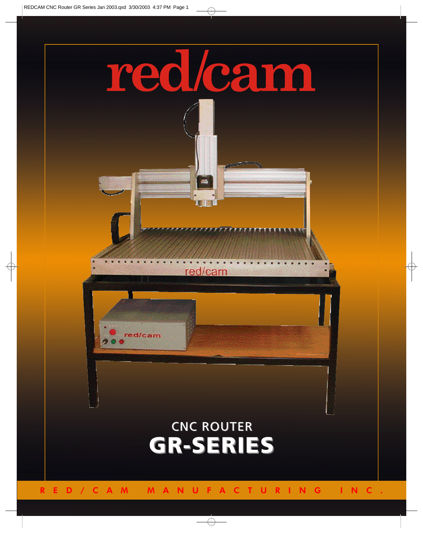

RED/CAM MANUFACTURING INC.